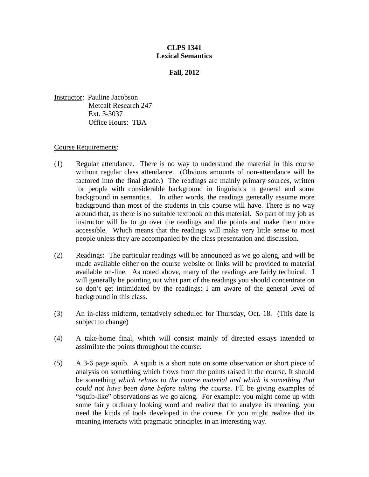## **CLPS 1341 Lexical Semantics**

## **Fall, 2012**

Instructor: Pauline Jacobson Metcalf Research 247 Ext. 3-3037 Office Hours: TBA

## Course Requirements:

- (1) Regular attendance. There is no way to understand the material in this course without regular class attendance. (Obvious amounts of non-attendance will be factored into the final grade.) The readings are mainly primary sources, written for people with considerable background in linguistics in general and some background in semantics. In other words, the readings generally assume more background than most of the students in this course will have. There is no way around that, as there is no suitable textbook on this material. So part of my job as instructor will be to go over the readings and the points and make them more accessible. Which means that the readings will make very little sense to most people unless they are accompanied by the class presentation and discussion.
- (2) Readings: The particular readings will be announced as we go along, and will be made available either on the course website or links will be provided to material available on-line. As noted above, many of the readings are fairly technical. I will generally be pointing out what part of the readings you should concentrate on so don't get intimidated by the readings; I am aware of the general level of background in this class.
- (3) An in-class midterm, tentatively scheduled for Thursday, Oct. 18. (This date is subject to change)
- (4) A take-home final, which will consist mainly of directed essays intended to assimilate the points throughout the course.
- (5) A 3-6 page squib. A squib is a short note on some observation or short piece of analysis on something which flows from the points raised in the course. It should be something *which relates to the course material and which is something that could not have been done before taking the course.* I'll be giving examples of "squib-like" observations as we go along. For example: you might come up with some fairly ordinary looking word and realize that to analyze its meaning, you need the kinds of tools developed in the course. Or you might realize that its meaning interacts with pragmatic principles in an interesting way.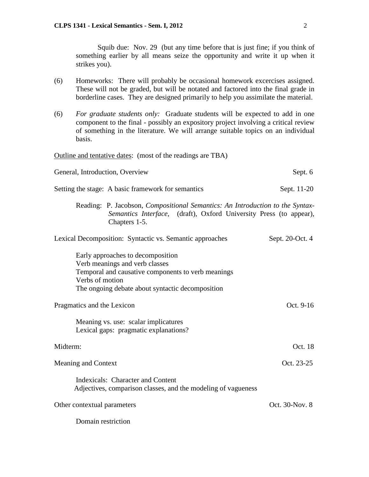Squib due: Nov. 29 (but any time before that is just fine; if you think of something earlier by all means seize the opportunity and write it up when it strikes you).

- (6) Homeworks: There will probably be occasional homework excercises assigned. These will not be graded, but will be notated and factored into the final grade in borderline cases. They are designed primarily to help you assimilate the material.
- (6) *For graduate students only:* Graduate students will be expected to add in one component to the final - possibly an expository project involving a critical review of something in the literature. We will arrange suitable topics on an individual basis.

Outline and tentative dates: (most of the readings are TBA) General, Introduction, Overview Sept. 6 Setting the stage: A basic framework for semantics Sept. 11-20 Reading: P. Jacobson, *Compositional Semantics: An Introduction to the Syntax-Semantics Interface,* (draft), Oxford University Press (to appear), Chapters 1-5. Lexical Decomposition: Syntactic vs. Semantic approaches Sept. 20-Oct. 4 Early approaches to decomposition Verb meanings and verb classes Temporal and causative components to verb meanings Verbs of motion The ongoing debate about syntactic decomposition Pragmatics and the Lexicon Oct. 9-16 Meaning vs. use: scalar implicatures Lexical gaps: pragmatic explanations? Midterm:  $Oct. 18$ Meaning and Context Context Context Context Context Context Context Context Context Context Context Context Context Context Context Context Context Context Context Context Context Context Context Context Context Context Co Indexicals: Character and Content Adjectives, comparison classes, and the modeling of vagueness Other contextual parameters Oct. 30-Nov. 8 Domain restriction